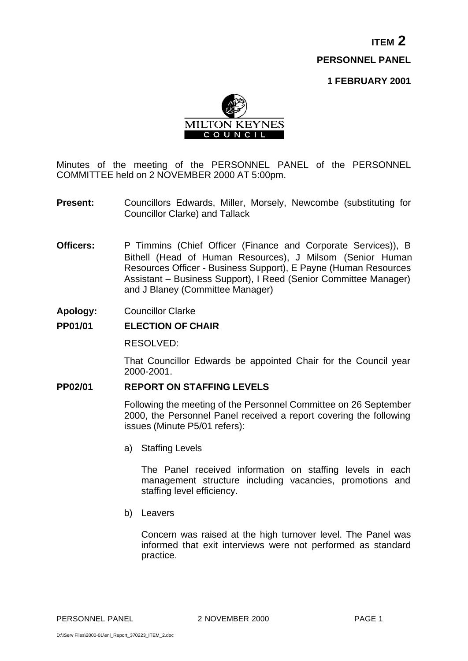**ITEM 2 PERSONNEL PANEL**

**1 FEBRUARY 2001**



Minutes of the meeting of the PERSONNEL PANEL of the PERSONNEL COMMITTEE held on 2 NOVEMBER 2000 AT 5:00pm.

- **Present:** Councillors Edwards, Miller, Morsely, Newcombe (substituting for Councillor Clarke) and Tallack
- **Officers:** P Timmins (Chief Officer (Finance and Corporate Services)), B Bithell (Head of Human Resources), J Milsom (Senior Human Resources Officer - Business Support), E Payne (Human Resources Assistant – Business Support), I Reed (Senior Committee Manager) and J Blaney (Committee Manager)
- **Apology:** Councillor Clarke

### **PP01/01 ELECTION OF CHAIR**

RESOLVED:

That Councillor Edwards be appointed Chair for the Council year 2000-2001.

### **PP02/01 REPORT ON STAFFING LEVELS**

Following the meeting of the Personnel Committee on 26 September 2000, the Personnel Panel received a report covering the following issues (Minute P5/01 refers):

a) Staffing Levels

The Panel received information on staffing levels in each management structure including vacancies, promotions and staffing level efficiency.

b) Leavers

Concern was raised at the high turnover level. The Panel was informed that exit interviews were not performed as standard practice.

PERSONNEL PANEL 2NOVEMBER 2000 PAGE 1